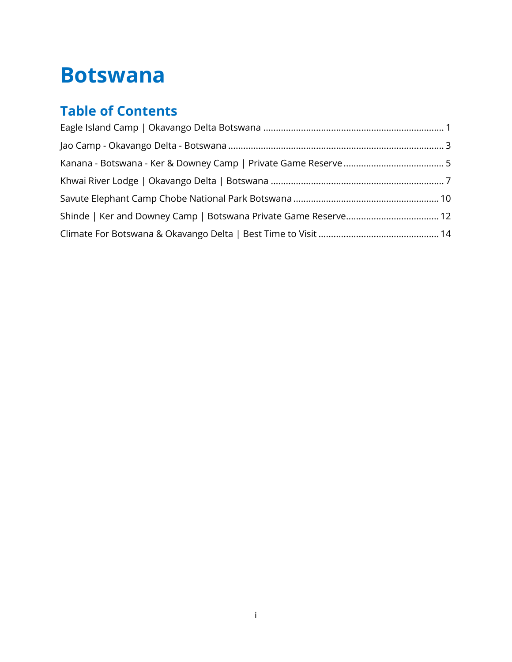### **Botswana**

### **Table of Contents**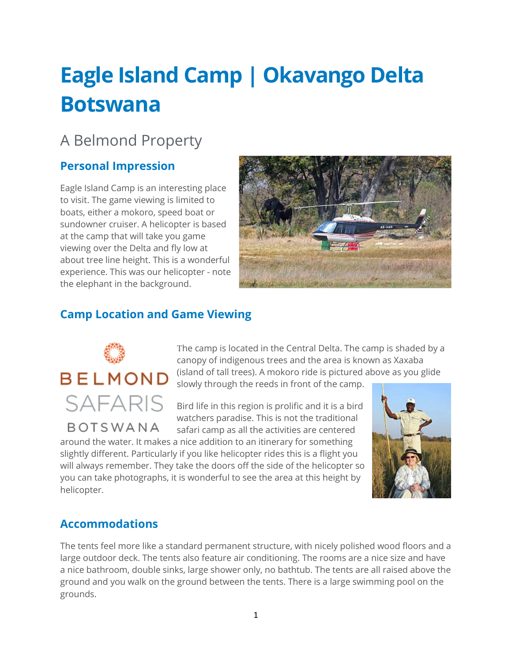# <span id="page-1-0"></span>**Eagle Island Camp | Okavango Delta Botswana**

### A Belmond Property

#### **Personal Impression**

Eagle Island Camp is an interesting place to visit. The game viewing is limited to boats, either a mokoro, speed boat or sundowner cruiser. A helicopter is based at the camp that will take you game viewing over the Delta and fly low at about tree line height. This is a wonderful experience. This was our helicopter - note the elephant in the background.



#### **Camp Location and Game Viewing**

# **BELMOND SAFARIS**

**BOTSWANA** 

The camp is located in the Central Delta. The camp is shaded by a canopy of indigenous trees and the area is known as Xaxaba (island of tall trees). A mokoro ride is pictured above as you glide slowly through the reeds in front of the camp.

Bird life in this region is prolific and it is a bird watchers paradise. This is not the traditional safari camp as all the activities are centered

around the water. It makes a nice addition to an itinerary for something slightly different. Particularly if you like helicopter rides this is a flight you will always remember. They take the doors off the side of the helicopter so you can take photographs, it is wonderful to see the area at this height by helicopter.



#### **Accommodations**

The tents feel more like a standard permanent structure, with nicely polished wood floors and a large outdoor deck. The tents also feature air conditioning. The rooms are a nice size and have a nice bathroom, double sinks, large shower only, no bathtub. The tents are all raised above the ground and you walk on the ground between the tents. There is a large swimming pool on the grounds.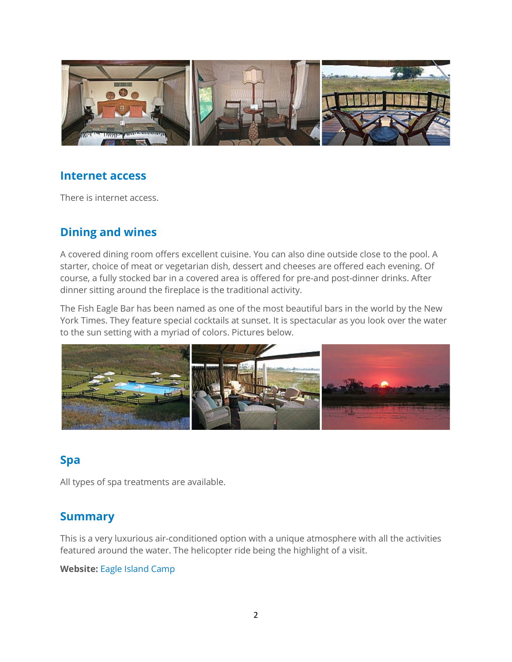

#### **Internet access**

There is internet access.

#### **Dining and wines**

A covered dining room offers excellent cuisine. You can also dine outside close to the pool. A starter, choice of meat or vegetarian dish, dessert and cheeses are offered each evening. Of course, a fully stocked bar in a covered area is offered for pre-and post-dinner drinks. After dinner sitting around the fireplace is the traditional activity.

The Fish Eagle Bar has been named as one of the most beautiful bars in the world by the New York Times. They feature special cocktails at sunset. It is spectacular as you look over the water to the sun setting with a myriad of colors. Pictures below.



#### **Spa**

All types of spa treatments are available.

#### **Summary**

This is a very luxurious air-conditioned option with a unique atmosphere with all the activities featured around the water. The helicopter ride being the highlight of a visit.

#### **Website:** [Eagle Island Camp](http://www.eagleislandcamp.com/web/oeic/eagle_island_camp.jsp)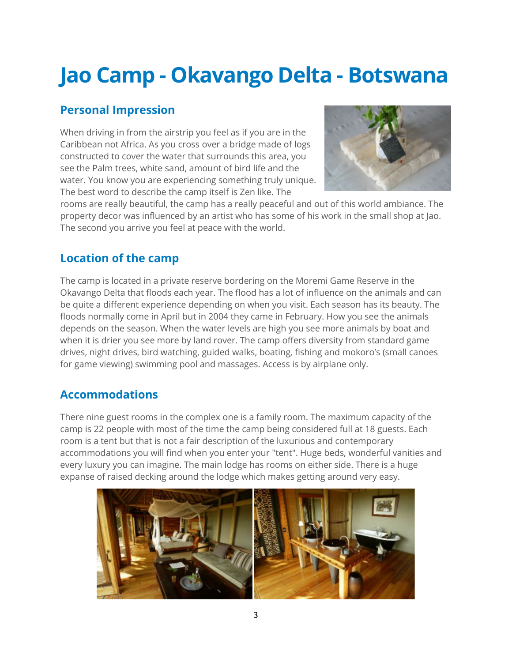### <span id="page-3-0"></span>**Jao Camp - Okavango Delta - Botswana**

#### **Personal Impression**

When driving in from the airstrip you feel as if you are in the Caribbean not Africa. As you cross over a bridge made of logs constructed to cover the water that surrounds this area, you see the Palm trees, white sand, amount of bird life and the water. You know you are experiencing something truly unique. The best word to describe the camp itself is Zen like. The



rooms are really beautiful, the camp has a really peaceful and out of this world ambiance. The property decor was influenced by an artist who has some of his work in the small shop at Jao. The second you arrive you feel at peace with the world.

#### **Location of the camp**

The camp is located in a private reserve bordering on the Moremi Game Reserve in the Okavango Delta that floods each year. The flood has a lot of influence on the animals and can be quite a different experience depending on when you visit. Each season has its beauty. The floods normally come in April but in 2004 they came in February. How you see the animals depends on the season. When the water levels are high you see more animals by boat and when it is drier you see more by land rover. The camp offers diversity from standard game drives, night drives, bird watching, guided walks, boating, fishing and mokoro's (small canoes for game viewing) swimming pool and massages. Access is by airplane only.

#### **Accommodations**

There nine guest rooms in the complex one is a family room. The maximum capacity of the camp is 22 people with most of the time the camp being considered full at 18 guests. Each room is a tent but that is not a fair description of the luxurious and contemporary accommodations you will find when you enter your "tent". Huge beds, wonderful vanities and every luxury you can imagine. The main lodge has rooms on either side. There is a huge expanse of raised decking around the lodge which makes getting around very easy.

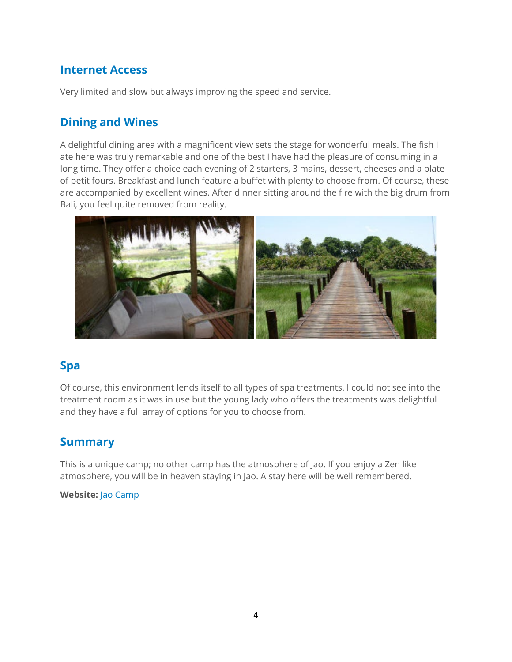#### **Internet Access**

Very limited and slow but always improving the speed and service.

#### **Dining and Wines**

A delightful dining area with a magnificent view sets the stage for wonderful meals. The fish I ate here was truly remarkable and one of the best I have had the pleasure of consuming in a long time. They offer a choice each evening of 2 starters, 3 mains, dessert, cheeses and a plate of petit fours. Breakfast and lunch feature a buffet with plenty to choose from. Of course, these are accompanied by excellent wines. After dinner sitting around the fire with the big drum from Bali, you feel quite removed from reality.



#### **Spa**

Of course, this environment lends itself to all types of spa treatments. I could not see into the treatment room as it was in use but the young lady who offers the treatments was delightful and they have a full array of options for you to choose from.

#### **Summary**

This is a unique camp; no other camp has the atmosphere of Jao. If you enjoy a Zen like atmosphere, you will be in heaven staying in Jao. A stay here will be well remembered.

#### **Website:** [Jao Camp](http://www.wilderness-safaris.com/botswana_okavango_delta/jao_camp/introduction/)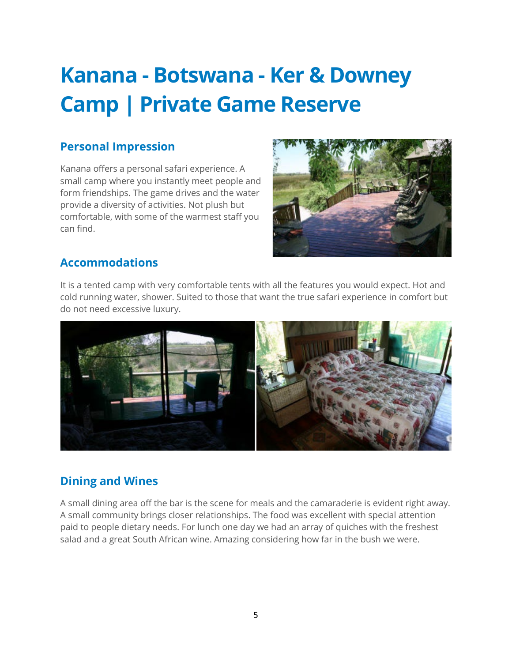### <span id="page-5-0"></span>**Kanana - Botswana - Ker & Downey Camp | Private Game Reserve**

#### **Personal Impression**

Kanana offers a personal safari experience. A small camp where you instantly meet people and form friendships. The game drives and the water provide a diversity of activities. Not plush but comfortable, with some of the warmest staff you can find.



#### **Accommodations**

It is a tented camp with very comfortable tents with all the features you would expect. Hot and cold running water, shower. Suited to those that want the true safari experience in comfort but do not need excessive luxury.



#### **Dining and Wines**

A small dining area off the bar is the scene for meals and the camaraderie is evident right away. A small community brings closer relationships. The food was excellent with special attention paid to people dietary needs. For lunch one day we had an array of quiches with the freshest salad and a great South African wine. Amazing considering how far in the bush we were.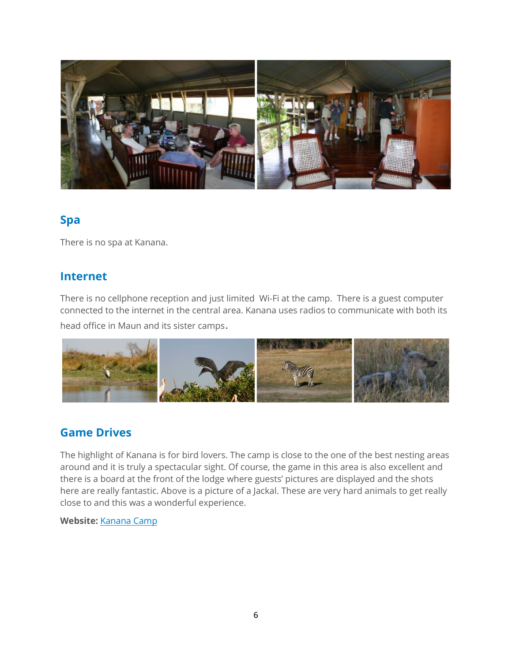

#### **Spa**

There is no spa at Kanana.

#### **Internet**

There is no cellphone reception and just limited Wi-Fi at the camp. There is a guest computer connected to the internet in the central area. Kanana uses radios to communicate with both its

head office in Maun and its sister camps.



#### **Game Drives**

The highlight of Kanana is for bird lovers. The camp is close to the one of the best nesting areas around and it is truly a spectacular sight. Of course, the game in this area is also excellent and there is a board at the front of the lodge where guests' pictures are displayed and the shots here are really fantastic. Above is a picture of a Jackal. These are very hard animals to get really close to and this was a wonderful experience.

#### **Website:** [Kanana Camp](http://www.kerdowneybotswana.com/our-camps/kanana/)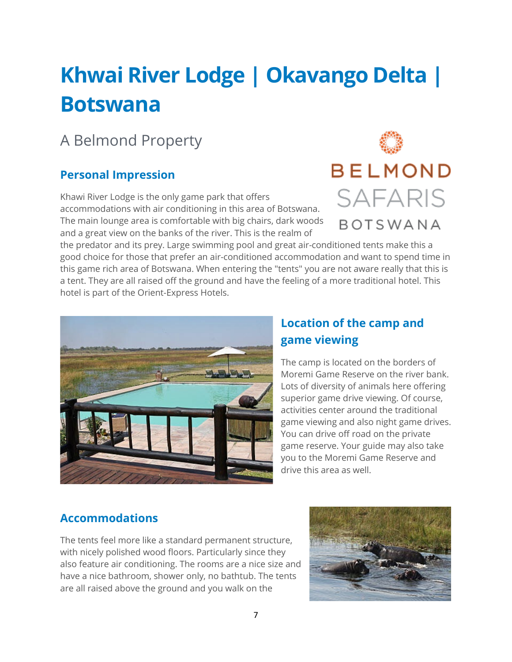# <span id="page-7-0"></span>**Khwai River Lodge | Okavango Delta | Botswana**

### A Belmond Property

#### **Personal Impression**

Khawi River Lodge is the only game park that offers accommodations with air conditioning in this area of Botswana. The main lounge area is comfortable with big chairs, dark woods and a great view on the banks of the river. This is the realm of



the predator and its prey. Large swimming pool and great air-conditioned tents make this a good choice for those that prefer an air-conditioned accommodation and want to spend time in this game rich area of Botswana. When entering the "tents" you are not aware really that this is a tent. They are all raised off the ground and have the feeling of a more traditional hotel. This hotel is part of the Orient-Express Hotels.



#### **Location of the camp and game viewing**

The camp is located on the borders of Moremi Game Reserve on the river bank. Lots of diversity of animals here offering superior game drive viewing. Of course, activities center around the traditional game viewing and also night game drives. You can drive off road on the private game reserve. Your guide may also take you to the Moremi Game Reserve and drive this area as well.

#### **Accommodations**

The tents feel more like a standard permanent structure, with nicely polished wood floors. Particularly since they also feature air conditioning. The rooms are a nice size and have a nice bathroom, shower only, no bathtub. The tents are all raised above the ground and you walk on the

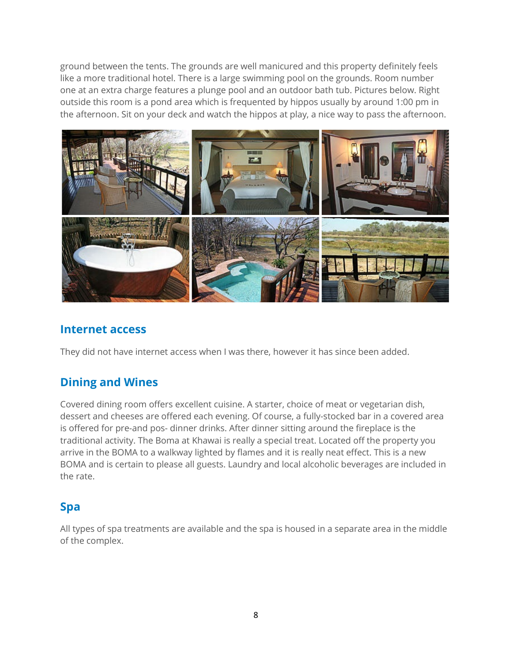ground between the tents. The grounds are well manicured and this property definitely feels like a more traditional hotel. There is a large swimming pool on the grounds. Room number one at an extra charge features a plunge pool and an outdoor bath tub. Pictures below. Right outside this room is a pond area which is frequented by hippos usually by around 1:00 pm in the afternoon. Sit on your deck and watch the hippos at play, a nice way to pass the afternoon.



#### **Internet access**

They did not have internet access when I was there, however it has since been added.

#### **Dining and Wines**

Covered dining room offers excellent cuisine. A starter, choice of meat or vegetarian dish, dessert and cheeses are offered each evening. Of course, a fully-stocked bar in a covered area is offered for pre-and pos- dinner drinks. After dinner sitting around the fireplace is the traditional activity. The Boma at Khawai is really a special treat. Located off the property you arrive in the BOMA to a walkway lighted by flames and it is really neat effect. This is a new BOMA and is certain to please all guests. Laundry and local alcoholic beverages are included in the rate.

#### **Spa**

All types of spa treatments are available and the spa is housed in a separate area in the middle of the complex.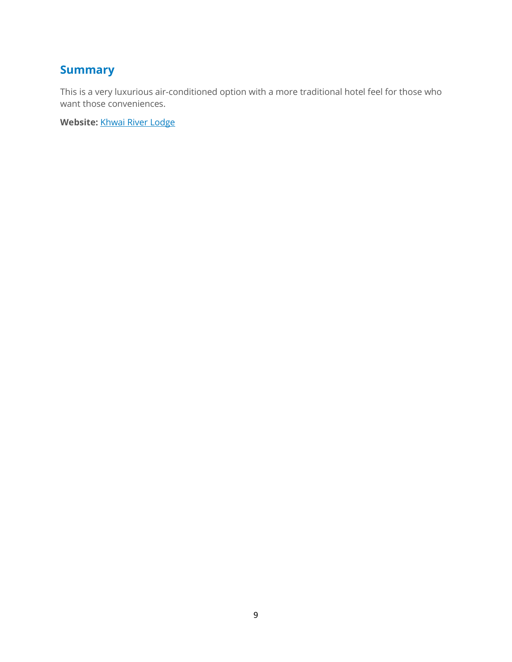#### **Summary**

This is a very luxurious air-conditioned option with a more traditional hotel feel for those who want those conveniences.

**Website:** [Khwai River Lodge](http://www.khwairiverlodge.com/web/okrl/khwai_river_lodge.jsp)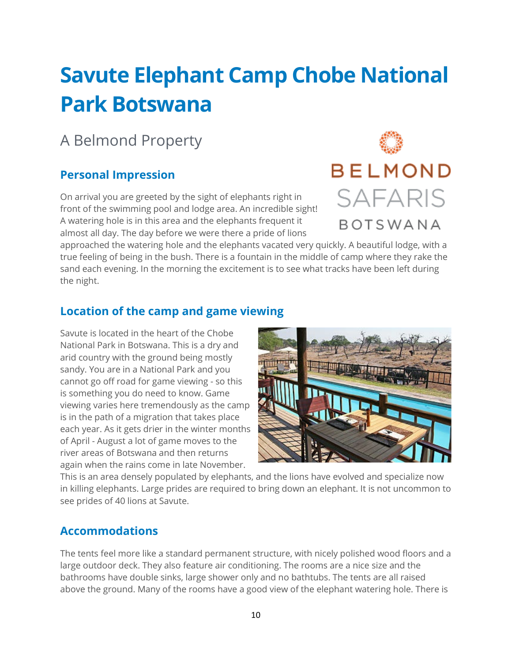### <span id="page-10-0"></span>**Savute Elephant Camp Chobe National Park Botswana**

### A Belmond Property

#### **Personal Impression**

On arrival you are greeted by the sight of elephants right in front of the swimming pool and lodge area. An incredible sight! A watering hole is in this area and the elephants frequent it almost all day. The day before we were there a pride of lions



approached the watering hole and the elephants vacated very quickly. A beautiful lodge, with a true feeling of being in the bush. There is a fountain in the middle of camp where they rake the sand each evening. In the morning the excitement is to see what tracks have been left during the night.

#### **Location of the camp and game viewing**

Savute is located in the heart of the Chobe National Park in Botswana. This is a dry and arid country with the ground being mostly sandy. You are in a National Park and you cannot go off road for game viewing - so this is something you do need to know. Game viewing varies here tremendously as the camp is in the path of a migration that takes place each year. As it gets drier in the winter months of April - August a lot of game moves to the river areas of Botswana and then returns again when the rains come in late November.



This is an area densely populated by elephants, and the lions have evolved and specialize now in killing elephants. Large prides are required to bring down an elephant. It is not uncommon to see prides of 40 lions at Savute.

#### **Accommodations**

The tents feel more like a standard permanent structure, with nicely polished wood floors and a large outdoor deck. They also feature air conditioning. The rooms are a nice size and the bathrooms have double sinks, large shower only and no bathtubs. The tents are all raised above the ground. Many of the rooms have a good view of the elephant watering hole. There is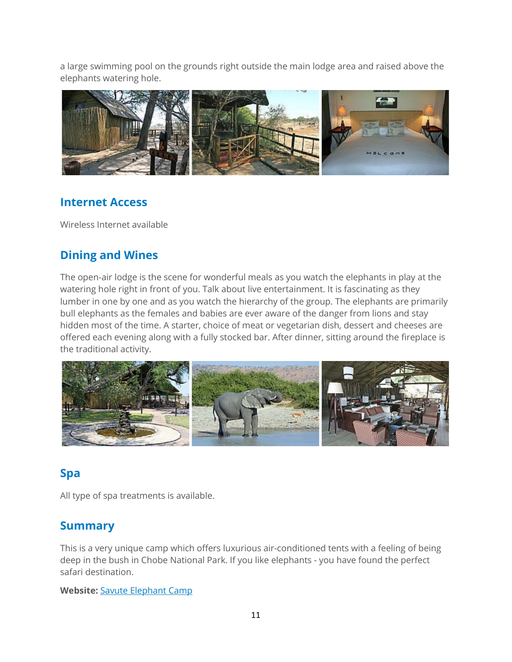a large swimming pool on the grounds right outside the main lodge area and raised above the elephants watering hole.



#### **Internet Access**

Wireless Internet available

#### **Dining and Wines**

The open-air lodge is the scene for wonderful meals as you watch the elephants in play at the watering hole right in front of you. Talk about live entertainment. It is fascinating as they lumber in one by one and as you watch the hierarchy of the group. The elephants are primarily bull elephants as the females and babies are ever aware of the danger from lions and stay hidden most of the time. A starter, choice of meat or vegetarian dish, dessert and cheeses are offered each evening along with a fully stocked bar. After dinner, sitting around the fireplace is the traditional activity.



#### **Spa**

All type of spa treatments is available.

#### **Summary**

This is a very unique camp which offers luxurious air-conditioned tents with a feeling of being deep in the bush in Chobe National Park. If you like elephants - you have found the perfect safari destination.

#### **Website:** [Savute Elephant Camp](http://www.savuteelephantcamp.com/web/osec/savute_elephant_camp.jsp)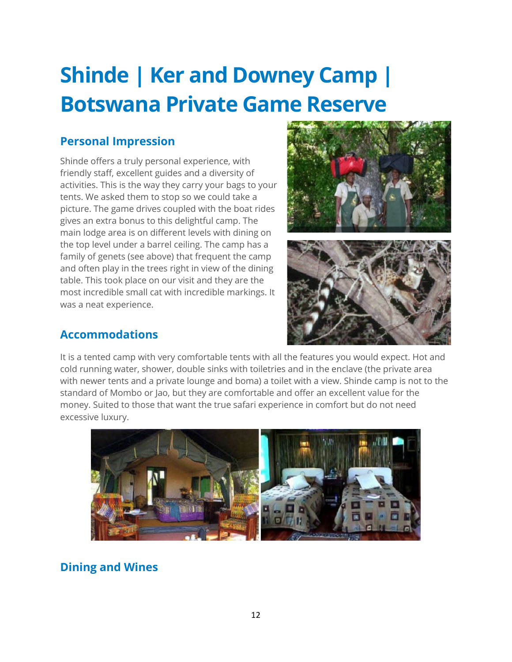# <span id="page-12-0"></span>**Shinde | Ker and Downey Camp | Botswana Private Game Reserve**

#### **Personal Impression**

Shinde offers a truly personal experience, with friendly staff, excellent guides and a diversity of activities. This is the way they carry your bags to your tents. We asked them to stop so we could take a picture. The game drives coupled with the boat rides gives an extra bonus to this delightful camp. The main lodge area is on different levels with dining on the top level under a barrel ceiling. The camp has a family of genets (see above) that frequent the camp and often play in the trees right in view of the dining table. This took place on our visit and they are the most incredible small cat with incredible markings. It was a neat experience.





#### **Accommodations**

It is a tented camp with very comfortable tents with all the features you would expect. Hot and cold running water, shower, double sinks with toiletries and in the enclave (the private area with newer tents and a private lounge and boma) a toilet with a view. Shinde camp is not to the standard of Mombo or Jao, but they are comfortable and offer an excellent value for the money. Suited to those that want the true safari experience in comfort but do not need excessive luxury.



#### **Dining and Wines**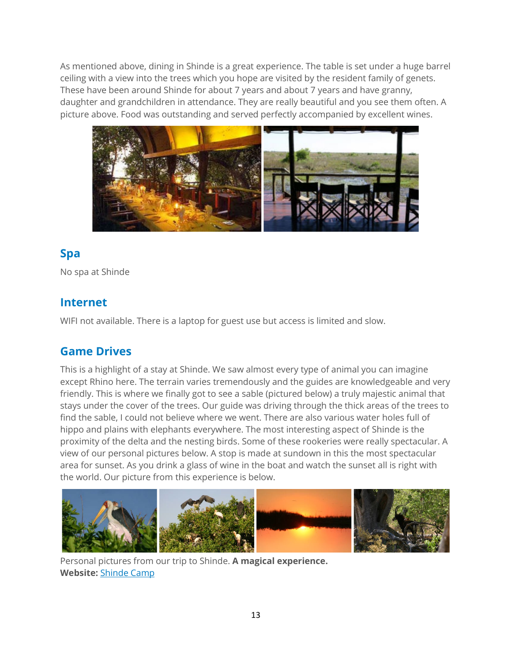As mentioned above, dining in Shinde is a great experience. The table is set under a huge barrel ceiling with a view into the trees which you hope are visited by the resident family of genets. These have been around Shinde for about 7 years and about 7 years and have granny, daughter and grandchildren in attendance. They are really beautiful and you see them often. A picture above. Food was outstanding and served perfectly accompanied by excellent wines.



#### **Spa**

No spa at Shinde

#### **Internet**

WIFI not available. There is a laptop for guest use but access is limited and slow.

#### **Game Drives**

This is a highlight of a stay at Shinde. We saw almost every type of animal you can imagine except Rhino here. The terrain varies tremendously and the guides are knowledgeable and very friendly. This is where we finally got to see a sable (pictured below) a truly majestic animal that stays under the cover of the trees. Our guide was driving through the thick areas of the trees to find the sable, I could not believe where we went. There are also various water holes full of hippo and plains with elephants everywhere. The most interesting aspect of Shinde is the proximity of the delta and the nesting birds. Some of these rookeries were really spectacular. A view of our personal pictures below. A stop is made at sundown in this the most spectacular area for sunset. As you drink a glass of wine in the boat and watch the sunset all is right with the world. Our picture from this experience is below.



Personal pictures from our trip to Shinde. **A magical experience. Website:** [Shinde Camp](http://kerdowney.com/properties/botswana/okavango-delta/shinde/http:/kerdowney.com/properties/botswana/okavango-delta/shinde/)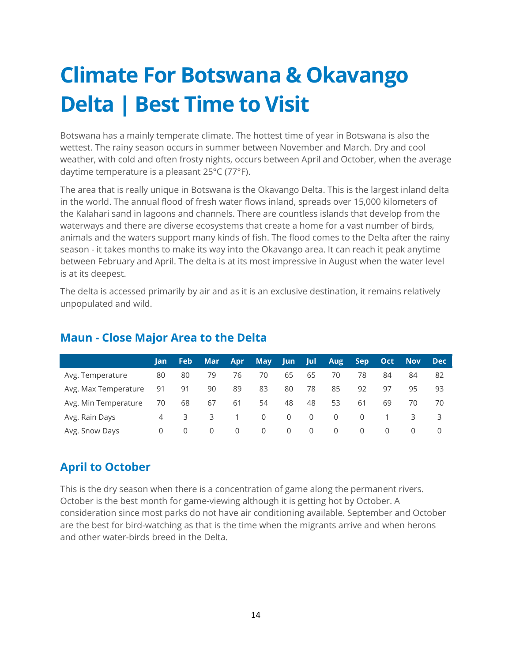# <span id="page-14-0"></span>**Climate For Botswana & Okavango Delta | Best Time to Visit**

Botswana has a mainly temperate climate. The hottest time of year in Botswana is also the wettest. The rainy season occurs in summer between November and March. Dry and cool weather, with cold and often frosty nights, occurs between April and October, when the average daytime temperature is a pleasant 25°C (77°F).

The area that is really unique in Botswana is the Okavango Delta. This is the largest inland delta in the world. The annual flood of fresh water flows inland, spreads over 15,000 kilometers of the Kalahari sand in lagoons and channels. There are countless islands that develop from the waterways and there are diverse ecosystems that create a home for a vast number of birds, animals and the waters support many kinds of fish. The flood comes to the Delta after the rainy season - it takes months to make its way into the Okavango area. It can reach it peak anytime between February and April. The delta is at its most impressive in August when the water level is at its deepest.

The delta is accessed primarily by air and as it is an exclusive destination, it remains relatively unpopulated and wild.

|                      |       | <b>Feb</b> | Mar l | Apr <b>A</b> | 'May | <b>Jun</b> | Jul | <b>Aug</b> |    |  |  |
|----------------------|-------|------------|-------|--------------|------|------------|-----|------------|----|--|--|
| Avg. Temperature     | 80    | 80         | 79    | /6           | 70.  | 65         | 65. | - 70       | 78 |  |  |
| Avg. Max Temperature | 91 91 |            |       |              |      | 80         |     | 85.        |    |  |  |
| Avg. Min Temperature | 70 68 |            | 6/    | -61          |      |            |     |            | 61 |  |  |
| Avg. Rain Days       |       |            |       |              |      |            |     |            |    |  |  |
|                      |       |            |       |              |      |            |     |            |    |  |  |

#### **Maun - Close Major Area to the Delta**

#### **April to October**

This is the dry season when there is a concentration of game along the permanent rivers. October is the best month for game-viewing although it is getting hot by October. A consideration since most parks do not have air conditioning available. September and October are the best for bird-watching as that is the time when the migrants arrive and when herons and other water-birds breed in the Delta.